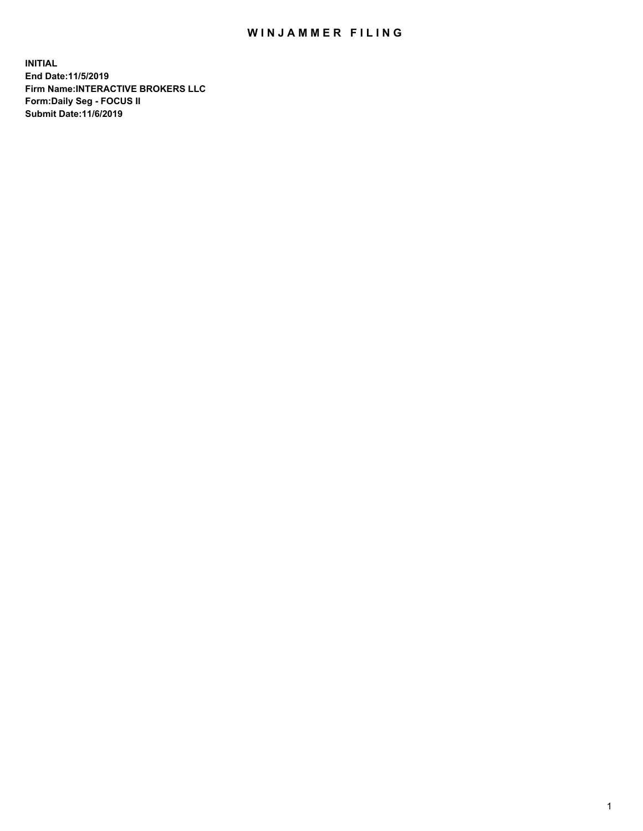## WIN JAMMER FILING

**INITIAL End Date:11/5/2019 Firm Name:INTERACTIVE BROKERS LLC Form:Daily Seg - FOCUS II Submit Date:11/6/2019**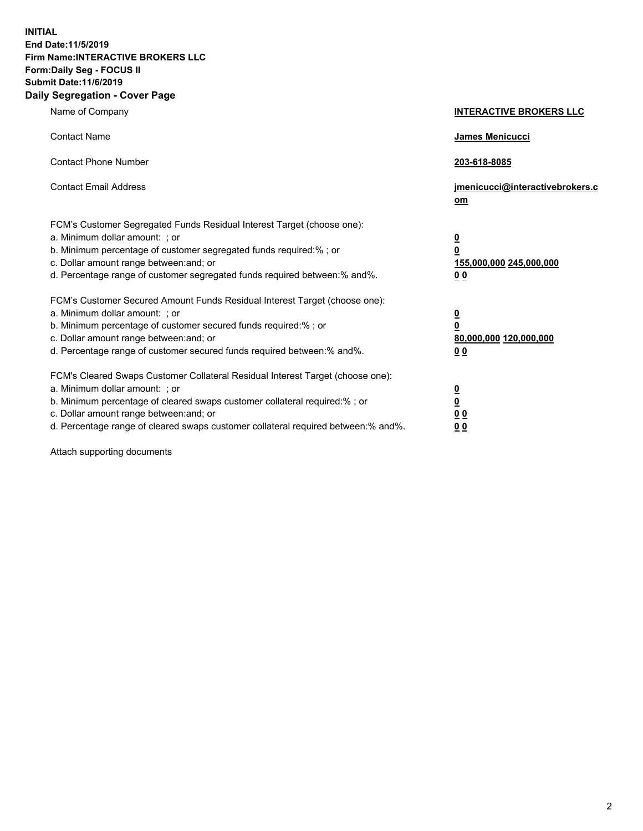**INITIAL End Date:11/5/2019 Firm Name:INTERACTIVE BROKERS LLC Form:Daily Seg - FOCUS II Submit Date:11/6/2019 Daily Segregation - Cover Page**

| Name of Company                                                                                                                                                                                                                                                                                                                | <b>INTERACTIVE BROKERS LLC</b>                                                                  |
|--------------------------------------------------------------------------------------------------------------------------------------------------------------------------------------------------------------------------------------------------------------------------------------------------------------------------------|-------------------------------------------------------------------------------------------------|
| <b>Contact Name</b>                                                                                                                                                                                                                                                                                                            | James Menicucci                                                                                 |
| <b>Contact Phone Number</b>                                                                                                                                                                                                                                                                                                    | 203-618-8085                                                                                    |
| <b>Contact Email Address</b>                                                                                                                                                                                                                                                                                                   | jmenicucci@interactivebrokers.c<br>om                                                           |
| FCM's Customer Segregated Funds Residual Interest Target (choose one):<br>a. Minimum dollar amount: ; or<br>b. Minimum percentage of customer segregated funds required:% ; or<br>c. Dollar amount range between: and; or<br>d. Percentage range of customer segregated funds required between:% and%.                         | $\overline{\mathbf{0}}$<br>$\overline{\mathbf{0}}$<br>155,000,000 245,000,000<br>0 <sub>0</sub> |
| FCM's Customer Secured Amount Funds Residual Interest Target (choose one):<br>a. Minimum dollar amount: ; or<br>b. Minimum percentage of customer secured funds required:%; or<br>c. Dollar amount range between: and; or<br>d. Percentage range of customer secured funds required between:% and%.                            | $\overline{\mathbf{0}}$<br>$\overline{\mathbf{0}}$<br>80,000,000 120,000,000<br>00              |
| FCM's Cleared Swaps Customer Collateral Residual Interest Target (choose one):<br>a. Minimum dollar amount: ; or<br>b. Minimum percentage of cleared swaps customer collateral required:% ; or<br>c. Dollar amount range between: and; or<br>d. Percentage range of cleared swaps customer collateral required between:% and%. | $\overline{\mathbf{0}}$<br>$\underline{\mathbf{0}}$<br>0 <sub>0</sub><br>0 <sub>0</sub>         |

Attach supporting documents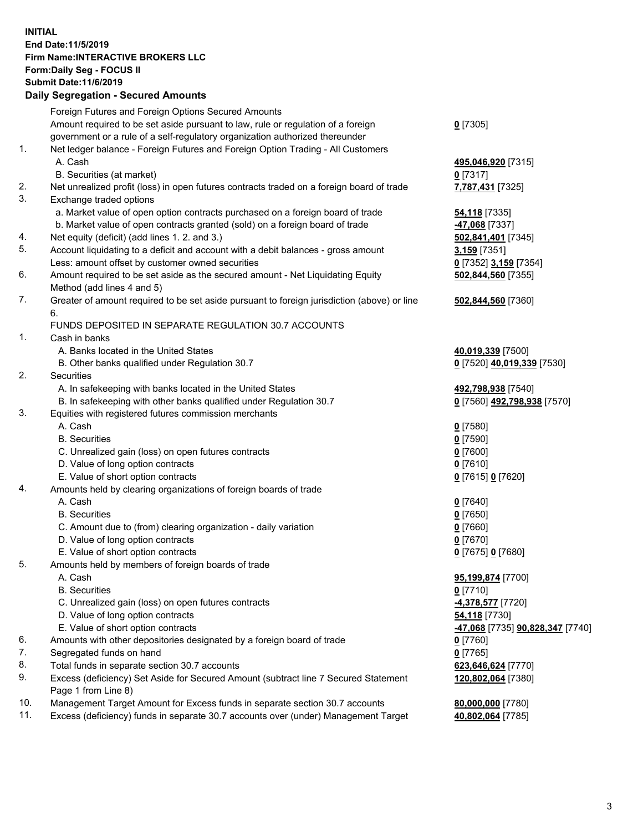## **INITIAL End Date:11/5/2019 Firm Name:INTERACTIVE BROKERS LLC Form:Daily Seg - FOCUS II Submit Date:11/6/2019 Daily Segregation - Secured Amounts**

|                | Daily Segregation - Secured Amounts                                                                                                  |                                                |
|----------------|--------------------------------------------------------------------------------------------------------------------------------------|------------------------------------------------|
|                | Foreign Futures and Foreign Options Secured Amounts                                                                                  |                                                |
|                | Amount required to be set aside pursuant to law, rule or regulation of a foreign                                                     | $0$ [7305]                                     |
|                | government or a rule of a self-regulatory organization authorized thereunder                                                         |                                                |
| $\mathbf{1}$ . | Net ledger balance - Foreign Futures and Foreign Option Trading - All Customers                                                      |                                                |
|                | A. Cash                                                                                                                              | 495,046,920 [7315]                             |
|                | B. Securities (at market)                                                                                                            | $0$ [7317]                                     |
| 2.             | Net unrealized profit (loss) in open futures contracts traded on a foreign board of trade                                            | 7,787,431 [7325]                               |
| 3.             | Exchange traded options                                                                                                              |                                                |
|                | a. Market value of open option contracts purchased on a foreign board of trade                                                       | <b>54,118</b> [7335]                           |
|                | b. Market value of open contracts granted (sold) on a foreign board of trade                                                         | 47,068 [7337]                                  |
| 4.             | Net equity (deficit) (add lines 1.2. and 3.)                                                                                         | 502,841,401 [7345]                             |
| 5.             | Account liquidating to a deficit and account with a debit balances - gross amount                                                    | 3,159 [7351]                                   |
|                | Less: amount offset by customer owned securities                                                                                     | 0 [7352] 3,159 [7354]                          |
| 6.             | Amount required to be set aside as the secured amount - Net Liquidating Equity                                                       | 502,844,560 [7355]                             |
|                | Method (add lines 4 and 5)                                                                                                           |                                                |
| 7.             | Greater of amount required to be set aside pursuant to foreign jurisdiction (above) or line                                          | 502,844,560 [7360]                             |
|                | 6.                                                                                                                                   |                                                |
|                | FUNDS DEPOSITED IN SEPARATE REGULATION 30.7 ACCOUNTS                                                                                 |                                                |
| 1.             | Cash in banks                                                                                                                        |                                                |
|                | A. Banks located in the United States                                                                                                | 40,019,339 [7500]                              |
|                | B. Other banks qualified under Regulation 30.7                                                                                       | 0 [7520] 40,019,339 [7530]                     |
| 2.             | Securities                                                                                                                           |                                                |
|                | A. In safekeeping with banks located in the United States                                                                            | 492,798,938 [7540]                             |
|                | B. In safekeeping with other banks qualified under Regulation 30.7                                                                   | 0 [7560] 492,798,938 [7570]                    |
| 3.             | Equities with registered futures commission merchants                                                                                |                                                |
|                | A. Cash                                                                                                                              | $0$ [7580]                                     |
|                | <b>B.</b> Securities                                                                                                                 | $0$ [7590]                                     |
|                | C. Unrealized gain (loss) on open futures contracts                                                                                  | $0$ [7600]                                     |
|                | D. Value of long option contracts                                                                                                    | $0$ [7610]                                     |
|                | E. Value of short option contracts                                                                                                   | 0 [7615] 0 [7620]                              |
| 4.             | Amounts held by clearing organizations of foreign boards of trade                                                                    |                                                |
|                | A. Cash                                                                                                                              | $0$ [7640]                                     |
|                | <b>B.</b> Securities                                                                                                                 | $0$ [7650]                                     |
|                | C. Amount due to (from) clearing organization - daily variation                                                                      | $0$ [7660]                                     |
|                | D. Value of long option contracts                                                                                                    | $0$ [7670]                                     |
|                | E. Value of short option contracts                                                                                                   | 0 [7675] 0 [7680]                              |
| 5.             | Amounts held by members of foreign boards of trade                                                                                   |                                                |
|                | A. Cash                                                                                                                              | 95,199,874 [7700]                              |
|                | <b>B.</b> Securities                                                                                                                 | $0$ [7710]                                     |
|                | C. Unrealized gain (loss) on open futures contracts                                                                                  | 4,378,577 [7720]                               |
|                | D. Value of long option contracts                                                                                                    | <b>54,118</b> [7730]                           |
| 6.             | E. Value of short option contracts                                                                                                   | <u>-47,068</u> [7735] <u>90,828,347</u> [7740] |
| 7.             | Amounts with other depositories designated by a foreign board of trade                                                               | 0 [7760]                                       |
| 8.             | Segregated funds on hand                                                                                                             | $0$ [7765]                                     |
| 9.             | Total funds in separate section 30.7 accounts<br>Excess (deficiency) Set Aside for Secured Amount (subtract line 7 Secured Statement | 623,646,624 [7770]<br>120,802,064 [7380]       |
|                | Page 1 from Line 8)                                                                                                                  |                                                |
| 10.            | Management Target Amount for Excess funds in separate section 30.7 accounts                                                          | 80,000,000 [7780]                              |
| 11.            | Excess (deficiency) funds in separate 30.7 accounts over (under) Management Target                                                   | 40,802,064 [7785]                              |
|                |                                                                                                                                      |                                                |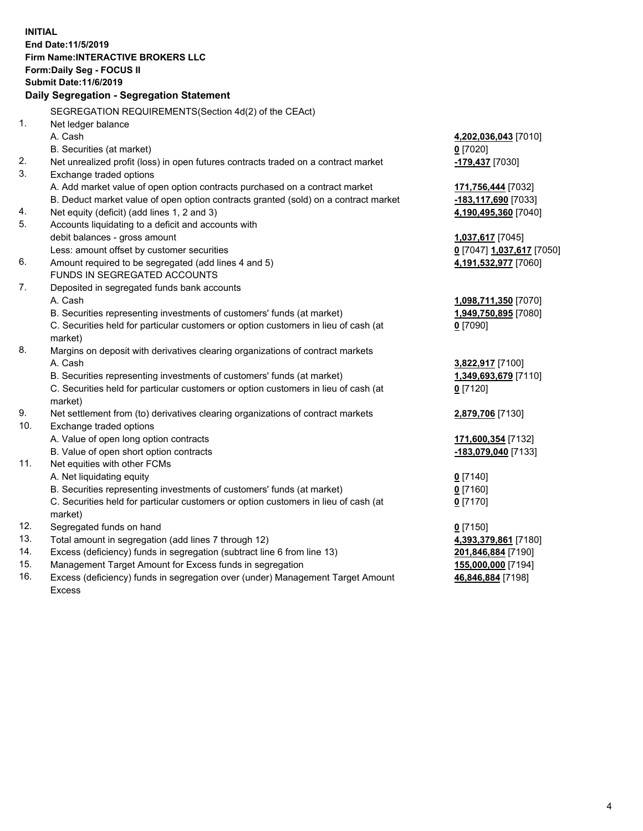**INITIAL End Date:11/5/2019 Firm Name:INTERACTIVE BROKERS LLC Form:Daily Seg - FOCUS II Submit Date:11/6/2019 Daily Segregation - Segregation Statement** SEGREGATION REQUIREMENTS(Section 4d(2) of the CEAct) 1. Net ledger balance A. Cash **4,202,036,043** [7010] B. Securities (at market) **0** [7020] 2. Net unrealized profit (loss) in open futures contracts traded on a contract market **-179,437** [7030] 3. Exchange traded options A. Add market value of open option contracts purchased on a contract market **171,756,444** [7032] B. Deduct market value of open option contracts granted (sold) on a contract market **-183,117,690** [7033] 4. Net equity (deficit) (add lines 1, 2 and 3) **4,190,495,360** [7040] 5. Accounts liquidating to a deficit and accounts with debit balances - gross amount **1,037,617** [7045] Less: amount offset by customer securities **0** [7047] **1,037,617** [7050] 6. Amount required to be segregated (add lines 4 and 5) **4,191,532,977** [7060] FUNDS IN SEGREGATED ACCOUNTS 7. Deposited in segregated funds bank accounts A. Cash **1,098,711,350** [7070] B. Securities representing investments of customers' funds (at market) **1,949,750,895** [7080] C. Securities held for particular customers or option customers in lieu of cash (at market) **0** [7090] 8. Margins on deposit with derivatives clearing organizations of contract markets A. Cash **3,822,917** [7100] B. Securities representing investments of customers' funds (at market) **1,349,693,679** [7110] C. Securities held for particular customers or option customers in lieu of cash (at market) **0** [7120] 9. Net settlement from (to) derivatives clearing organizations of contract markets **2,879,706** [7130] 10. Exchange traded options A. Value of open long option contracts **171,600,354** [7132] B. Value of open short option contracts **-183,079,040** [7133] 11. Net equities with other FCMs A. Net liquidating equity **0** [7140] B. Securities representing investments of customers' funds (at market) **0** [7160] C. Securities held for particular customers or option customers in lieu of cash (at market) **0** [7170] 12. Segregated funds on hand **0** [7150] 13. Total amount in segregation (add lines 7 through 12) **4,393,379,861** [7180] 14. Excess (deficiency) funds in segregation (subtract line 6 from line 13) **201,846,884** [7190] 15. Management Target Amount for Excess funds in segregation **155,000,000** [7194]

16. Excess (deficiency) funds in segregation over (under) Management Target Amount Excess

**46,846,884** [7198]